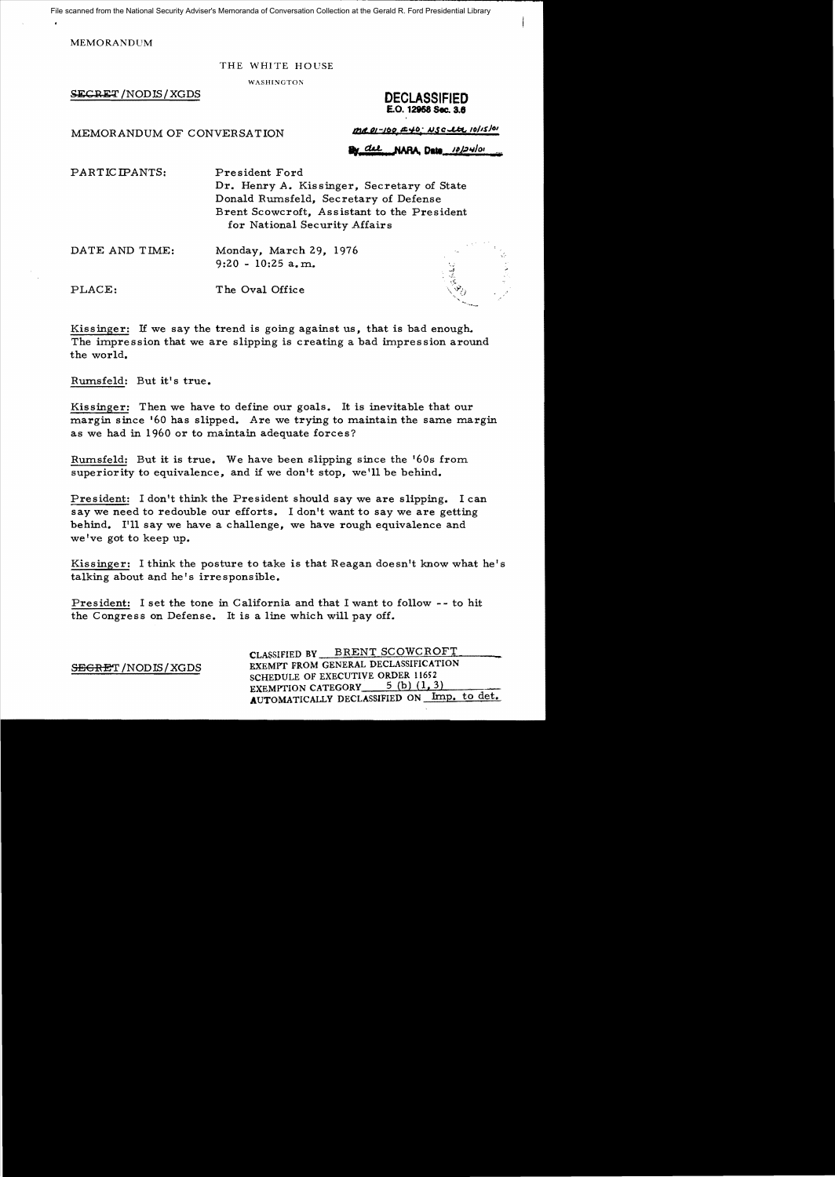File scanned from the National Security Adviser's Memoranda of Conversation Collection at the Gerald R. Ford Presidential Library

MEMORANDUM

#### THE WHITE HOUSE

WASHINGTON

**SECRET**/NODIS/XGDS **DECLASSIFIED** 

# **£.0.12858 Sec. 3.8**

MEMORANDUM OF CONVERSATION

 $mR.01 - 100.440.$  NSc ltd  $10/15/01$ 

By del NARA Data 10/24/01

PARTICIPANTS: President Ford Dr. Henry A. Kissinger, Secretary of State Donald Rumsfeld, Secretary of Defense Brent Scowcroft, Assistant to the President for National Security Affairs

DATE AND TIME: Monday, March 29, 1976 9:20 - 10:25 a. m.

PLACE: The Oval Office

Kissinger: If we say the trend is going against us, that is bad enough. The impression that we are slipping is creating a bad impression around the world.

Rumsfeld: But it's true.

Kissinger: Then we have to define our goals. It is inevitable that our margin since '60 has slipped. Are we trying to maintain the same margin as we had in 1960 or to maintain adequate forces?

Rumsfeld: But it is true. We have been slipping since the '60s from superiority to equivalence, and if we don't stop, we'll be behind.

President: I don't think the President should say we are slipping. I can say we need to redouble our efforts. I don't want to say we are getting behind. I'll say we have a challenge, we have rough equivalence and we've got to keep up.

Kissinger: I think the posture to take is that Reagan doesn't know what he's talking about and he's irre sponsible.

President: I set the tone in California and that I want to follow - - to hit the Congress on Defense. It is a line which will payoff.

CLASSIFIED BY BRENT SCOWCROFT SEGRET / NODIS / XGDS EXEMPT FROM GENERAL DECLASSIFICATION SCHEDULE OF EXECUTIVE ORDER 11652 EXEMPTION CATEGORY  $5$  (b)  $(1, 3)$ AUTOMATICALLY DECLASSIFIED ON Imp. to det.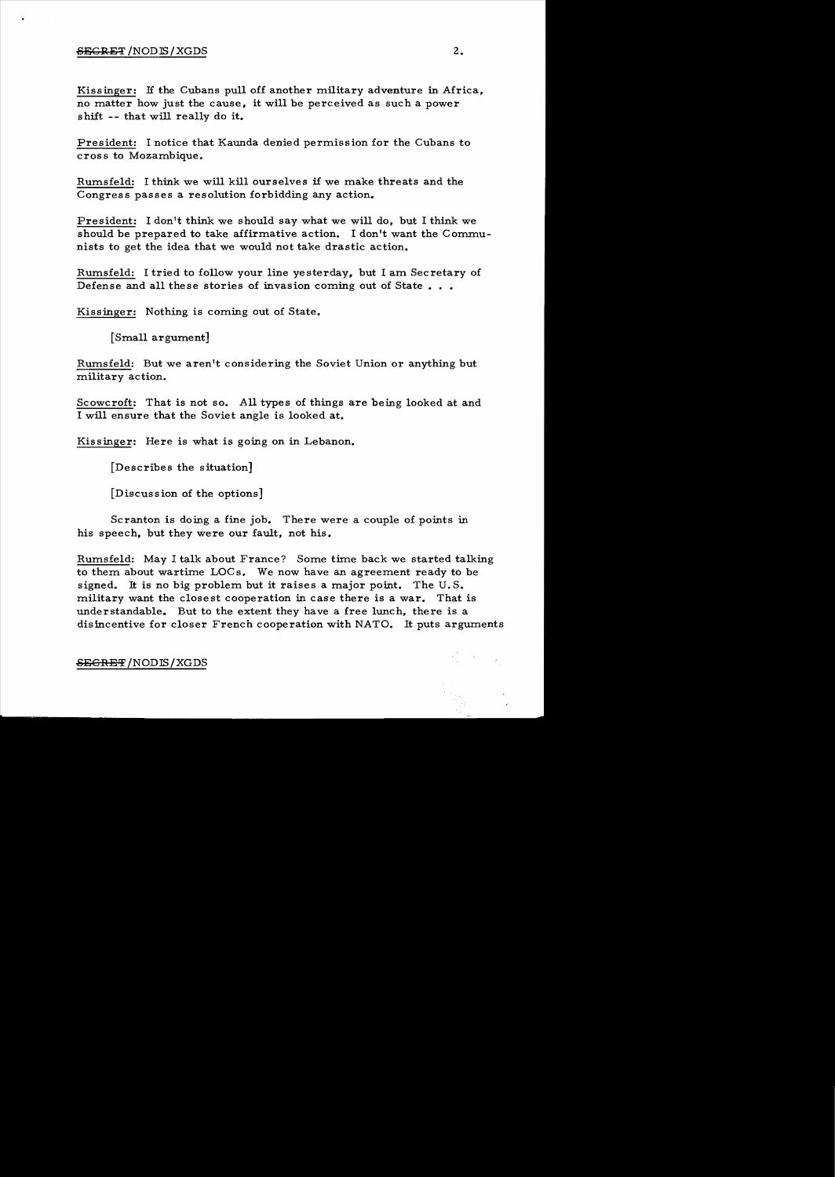#### $SEGREF/NODIS/XGDS$  2.

Kissinger: If the Cubans pull off another military adventure in Africa, no matter how just the cause, it will be perceived as such a power shift -- that will really do it.

President: I notice that Kaunda denied permission for the Cubans to cross to Mozambique.

Rumsfeld: I think we will kill ourselves if we make threats and the Congress passes a resolution forbidding any action.

President: I don't think we should say what we will do, but I think we should be prepared to take affirmative action. I don't want the Communists to get the idea that we would not take drastic action.

Rumsfeld: I tried to follow your line yesterday, but I am Secretary of Defense and all these stories of invasion coming out of State  $\dots$ 

Kissinger: Nothing is coming out of State.

[Small argument]

Rumsfeld: But we aren't considering the Soviet Union or anything but military action.

Scowcroft: That is not so. All types of things are being looked at and I will ensure that the Soviet angle is looked at.

Kissinger: Here is what is going on in Lebanon.

[Describes the situation]

[Discussion of the options]

Scranton is doing a fine job. There were a couple of points in his speech, but they were our fault, not his.

Rumsfeld: May I talk about France? Some time back we started talking to them about wartime LOCs. We now have an agreement ready to be signed. It is no big problem but it raises a major point. The  $U.S.$ military want the closest cooperation in case there is a war. That is understandable. But to the extent they have a free lunch, there is a disincentive for closer French cooperation with NATO. It puts arguments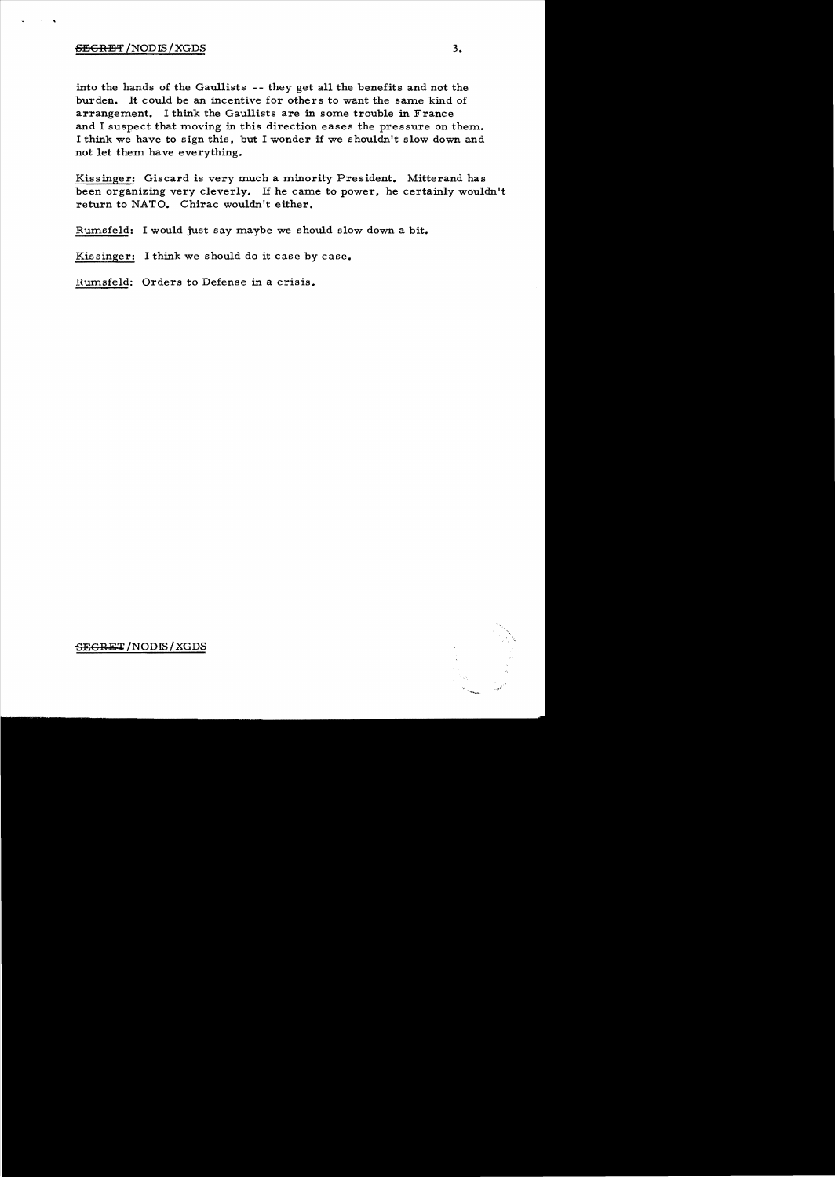### $SECREF/NODIS/XGDS$  3.

into the hands of the Gaullists - - they get all the benefits and not the burden. It could be an incentive for others to want the same kind of arrangement. I think the Gaullists are in some trouble in France and I suspect that moving in this direction eases the pressure on them. I think we have to sign this, but I wonder if we shouldn't slow down and not let them have everything.

Kissinger: Giscard is very much a minority President. Mitterand has been organizing very cleverly. If he came to power, he certainly wouldn't return to NATO. Chirac wouldn't either.

Rumsfeld: I would just say maybe we should slow down a bit.

Kissinger: I think we should do it case by case.

Rumsfeld: Orders to Defense in a crisis.



## SEGRET/NODIS/XGDS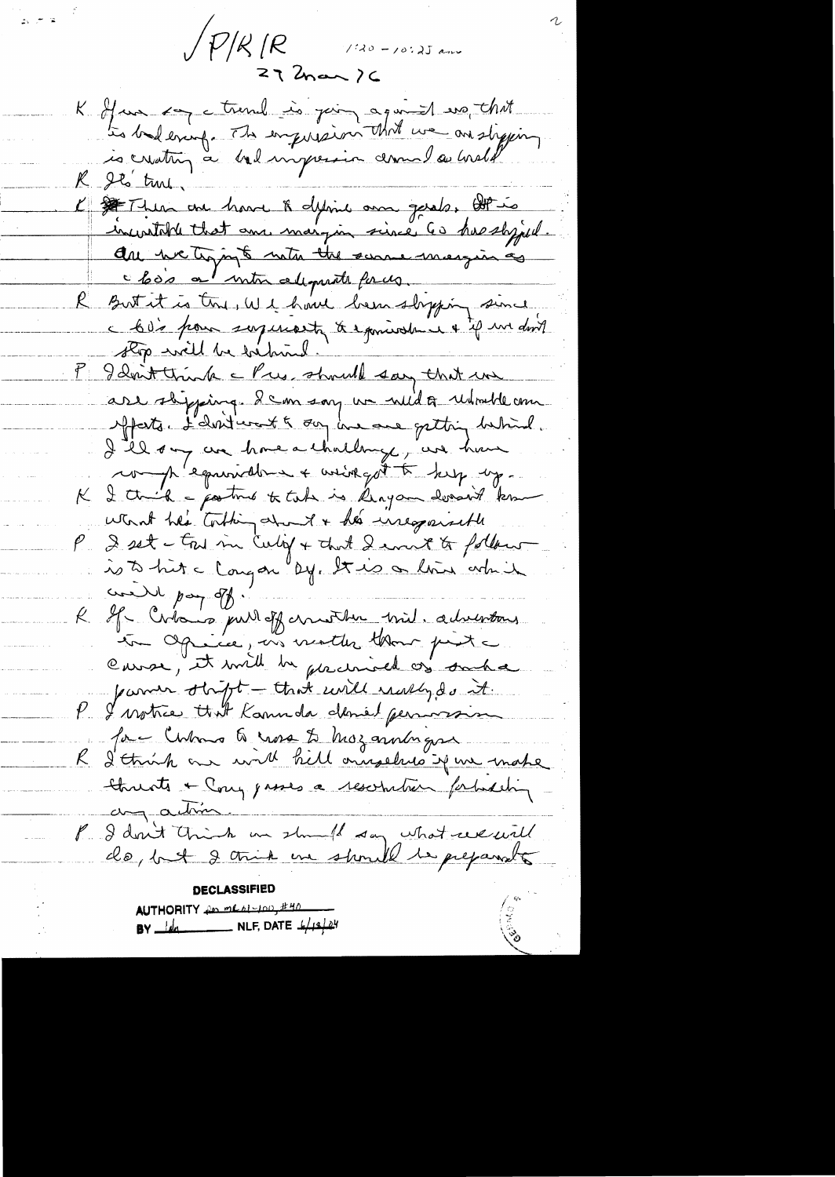$\sqrt{P/K/R}$  120-10.25 and  $272$ nan  $26$ 

 $\mathbb{R}^3 \subset \mathbb{R}^3$ 

K of un son a troub is join again that R Its true. L' SI There are have & define on gerals, OP is increatable that and margin since 60 has shyped. are we trying to note the summer margin as But it is try, W1 how been slipping since c 60's pour soyenant à exmiratrie & 4 m doit P I don't think a Pres should say that we are shipping. I can say we wild a reducted com Mfatter L'abstruct & day has avec gatting hetained. I the ony are home a thathings, are have complementation + avingat to keep up. I think - posture to take is length losses to know  $\kappa$ won't her tothing about & her inequired  $\rho_{\scriptscriptstyle\perp}$ I set - try in Cuby + that I won't to follow is to hit a long on by this or line which credit pay of. If Citais pull of cruster with adverting to Opinice, on motter that pite cause, it will be gacinized of such a parmer strift - that will wally do it. P I motice that Kannda deniel permosion for China & was to hos anningse R I think are will hill annoches if we make threats + Cong passes a resortation forbatching any action P I don't trink on should say what we will DECLASSIFIED

|  |  |  | WTHORITY for what you, #40                                                    |
|--|--|--|-------------------------------------------------------------------------------|
|  |  |  | $3Y$ $\frac{1}{\sqrt{2}}$ NLF, DATE $\frac{1}{4}$ $\frac{1}{4}$ $\frac{3}{4}$ |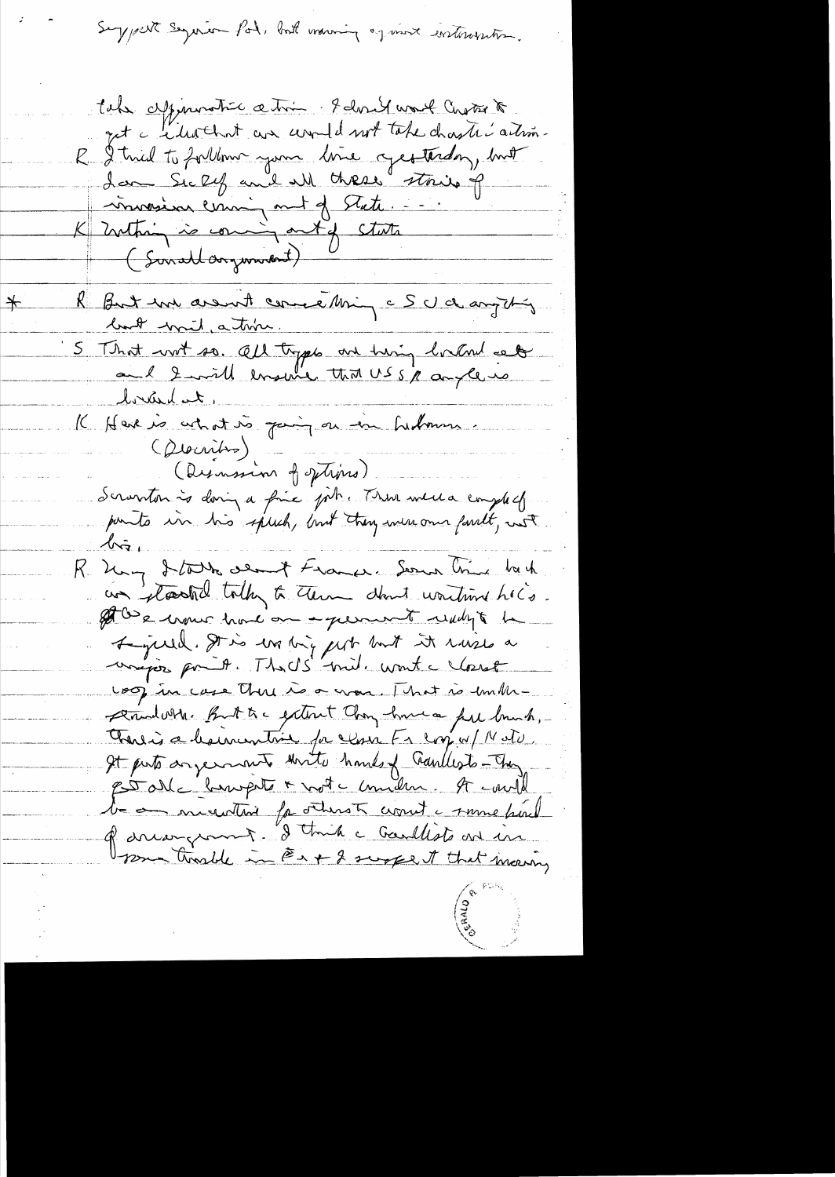Suggest Seguio Pot, but moning og mort instrumente.

take appenantic ation - I don't wort Chote to get a citrachat an unad not take chaster artim-R I tried to forthom your line cycothiday, but Lan Sickey and all these strike of morin coming met of State. K Inthing is coming ont of state (Sonallargument) R But un avant comme Min c S c/ d anything book wait, a time. 5 That wit so. All tryps are him holard set braid et K Here is cet at vs pain en in hedmus (Discritis) (Disnassion of sptins). deranton à doing a fine pôtre There were employed points in his speech, but they were one formelt, not  $\sqrt{2}$ R. May Stadt deant France. Seanne Vince back un planted today to them don't wontain hold. at be work have on a queen to reach to be Lycell. It is wating get but it ruses a unipos point. Thads mile wont a closest coop in case there is a cross. That is unthe-Dindon. But to extent Chong have a fell brush, There is a how writing for close Fr copy of Noto. It puts anyements thrite hands of Gaullests-They estable bumpte + note uniden. A could le on misurtait facturet court à some par l' of dreamgement. I think a Gardlests are in 12m trasble in @x + 2 suspect that meaning

 $\neq$